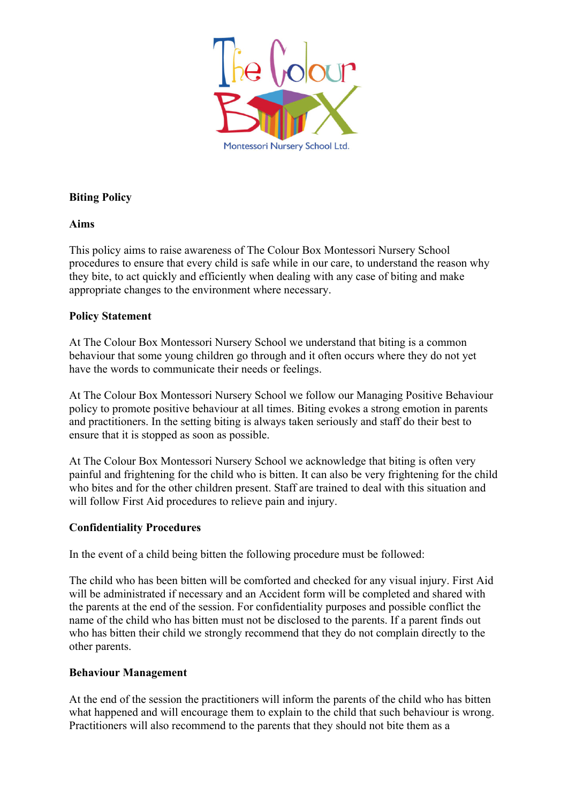

# **Biting Policy**

## **Aims**

This policy aims to raise awareness of The Colour Box Montessori Nursery School procedures to ensure that every child is safe while in our care, to understand the reason why they bite, to act quickly and efficiently when dealing with any case of biting and make appropriate changes to the environment where necessary.

## **Policy Statement**

At The Colour Box Montessori Nursery School we understand that biting is a common behaviour that some young children go through and it often occurs where they do not yet have the words to communicate their needs or feelings.

At The Colour Box Montessori Nursery School we follow our Managing Positive Behaviour policy to promote positive behaviour at all times. Biting evokes a strong emotion in parents and practitioners. In the setting biting is always taken seriously and staff do their best to ensure that it is stopped as soon as possible.

At The Colour Box Montessori Nursery School we acknowledge that biting is often very painful and frightening for the child who is bitten. It can also be very frightening for the child who bites and for the other children present. Staff are trained to deal with this situation and will follow First Aid procedures to relieve pain and injury.

## **Confidentiality Procedures**

In the event of a child being bitten the following procedure must be followed:

The child who has been bitten will be comforted and checked for any visual injury. First Aid will be administrated if necessary and an Accident form will be completed and shared with the parents at the end of the session. For confidentiality purposes and possible conflict the name of the child who has bitten must not be disclosed to the parents. If a parent finds out who has bitten their child we strongly recommend that they do not complain directly to the other parents.

### **Behaviour Management**

At the end of the session the practitioners will inform the parents of the child who has bitten what happened and will encourage them to explain to the child that such behaviour is wrong. Practitioners will also recommend to the parents that they should not bite them as a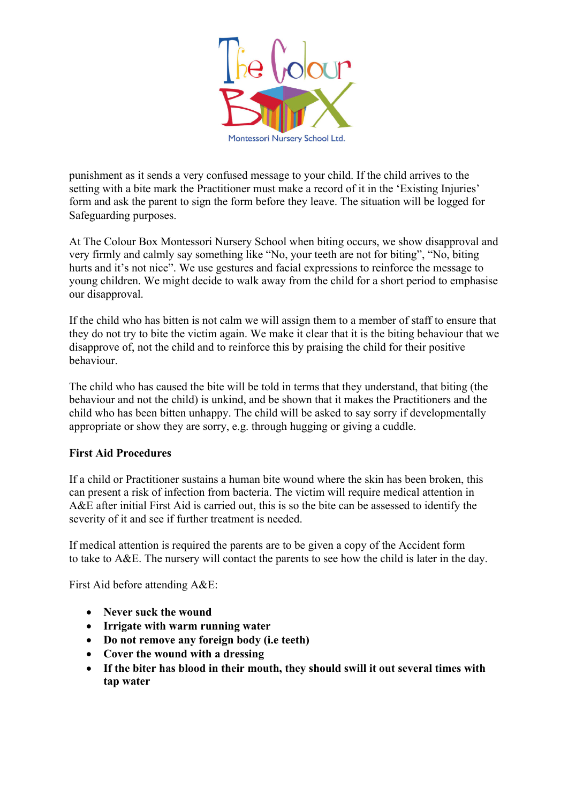

punishment as it sends a very confused message to your child. If the child arrives to the setting with a bite mark the Practitioner must make a record of it in the 'Existing Injuries' form and ask the parent to sign the form before they leave. The situation will be logged for Safeguarding purposes.

At The Colour Box Montessori Nursery School when biting occurs, we show disapproval and very firmly and calmly say something like "No, your teeth are not for biting", "No, biting hurts and it's not nice". We use gestures and facial expressions to reinforce the message to young children. We might decide to walk away from the child for a short period to emphasise our disapproval.

If the child who has bitten is not calm we will assign them to a member of staff to ensure that they do not try to bite the victim again. We make it clear that it is the biting behaviour that we disapprove of, not the child and to reinforce this by praising the child for their positive behaviour.

The child who has caused the bite will be told in terms that they understand, that biting (the behaviour and not the child) is unkind, and be shown that it makes the Practitioners and the child who has been bitten unhappy. The child will be asked to say sorry if developmentally appropriate or show they are sorry, e.g. through hugging or giving a cuddle.

## **First Aid Procedures**

If a child or Practitioner sustains a human bite wound where the skin has been broken, this can present a risk of infection from bacteria. The victim will require medical attention in A&E after initial First Aid is carried out, this is so the bite can be assessed to identify the severity of it and see if further treatment is needed.

If medical attention is required the parents are to be given a copy of the Accident form to take to A&E. The nursery will contact the parents to see how the child is later in the day.

First Aid before attending A&E:

- **Never suck the wound**
- **Irrigate with warm running water**
- **Do not remove any foreign body (i.e teeth)**
- **Cover the wound with a dressing**
- **If the biter has blood in their mouth, they should swill it out several times with tap water**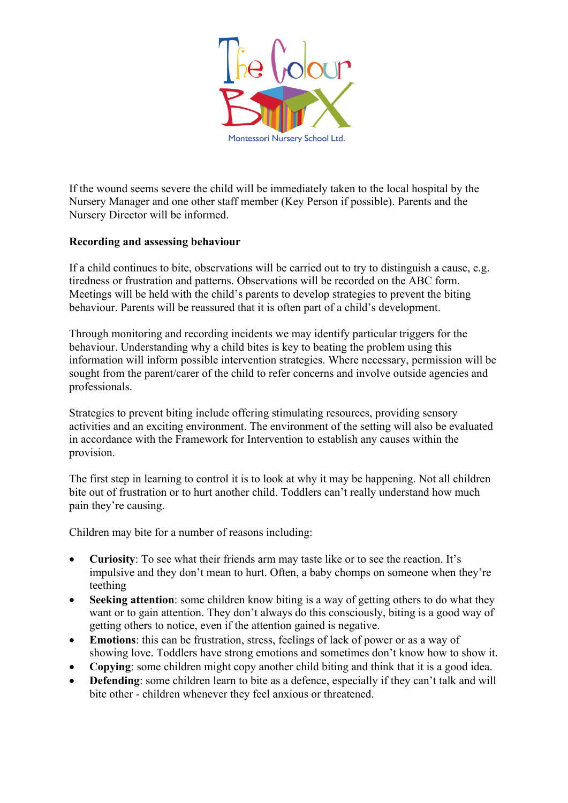

If the wound seems severe the child will be immediately taken to the local hospital by the Nursery Manager and one other staff member (Key Person if possible). Parents and the Nursery Director will be informed.

## **Recording and assessing behaviour**

If a child continues to bite, observations will be carried out to try to distinguish a cause, e.g. tiredness or frustration and patterns. Observations will be recorded on the ABC form. Meetings will be held with the child's parents to develop strategies to prevent the biting behaviour. Parents will be reassured that it is often part of a child's development.

Through monitoring and recording incidents we may identify particular triggers for the behaviour. Understanding why a child bites is key to beating the problem using this information will inform possible intervention strategies. Where necessary, permission will be sought from the parent/carer of the child to refer concerns and involve outside agencies and professionals.

Strategies to prevent biting include offering stimulating resources, providing sensory activities and an exciting environment. The environment of the setting will also be evaluated in accordance with the Framework for Intervention to establish any causes within the provision.

The first step in learning to control it is to look at why it may be happening. Not all children bite out of frustration or to hurt another child. Toddlers can't really understand how much pain they're causing.

Children may bite for a number of reasons including:

- **Curiosity**: To see what their friends arm may taste like or to see the reaction. It's impulsive and they don't mean to hurt. Often, a baby chomps on someone when they're teething
- **Seeking attention**: some children know biting is a way of getting others to do what they want or to gain attention. They don't always do this consciously, biting is a good way of getting others to notice, even if the attention gained is negative.
- **Emotions**: this can be frustration, stress, feelings of lack of power or as a way of showing love. Toddlers have strong emotions and sometimes don't know how to show it.
- **Copying**: some children might copy another child biting and think that it is a good idea.
- **Defending**: some children learn to bite as a defence, especially if they can't talk and will bite other - children whenever they feel anxious or threatened.